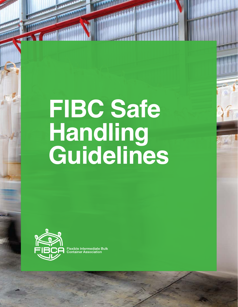# **FIBC Safe Handling Guidelines**



**Flexible Intermediate Bulk Container Association**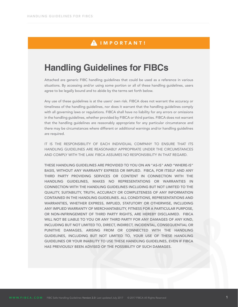### AIMPORTANT!

### **Handling Guidelines for FIBCs**

Attached are generic FIBC handling guidelines that could be used as a reference in various situations. By accessing and/or using some portion or all of these handling guidelines, users agree to be legally bound and to abide by the terms set forth below.

Any use of these guidelines is at the users' own risk. FIBCA does not warrant the accuracy or timeliness of the handling guidelines, nor does it warrant that the handling guidelines comply with all governing laws or regulations. FIBCA shall have no liability for any errors or omissions in the handling guidelines, whether provided by FIBCA or third parties. FIBCA does not warrant that the handling guidelines are reasonably appropriate for any particular circumstance and there may be circumstances where different or additional warnings and/or handling guidelines are required.

IT IS THE RESPONSIBILITY OF EACH INDIVIDUAL COMPANY TO ENSURE THAT ITS HANDLING GUIDELINES ARE REASONABLY APPROPRIATE UNDER THE CIRCUMSTANCES AND COMPLY WITH THE LAW. FIBCA ASSUMES NO RESPONSIBILITY IN THAT REGARD.

THESE HANDLING GUIDELINES ARE PROVIDED TO YOU ON AN "AS-IS" AND "WHERE-IS" BASIS, WITHOUT ANY WARRANTY EXPRESS OR IMPLIED. FIBCA, FOR ITSELF AND ANY THIRD PARTY PROVIDING SERVICES OR CONTENT IN CONNECTION WITH THE HANDLING GUIDELINES, MAKES NO REPRESENTATIONS OR WARRANTIES IN CONNECTION WITH THE HANDLING GUIDELINES INCLUDING BUT NOT LIMITED TO THE QUALITY, SUITABILITY, TRUTH, ACCURACY OR COMPLETENESS OF ANY INFORMATION CONTAINED IN THE HANDLING GUIDELINES. ALL CONDITIONS, REPRESENTATIONS AND WARRANTIES, WHETHER EXPRESS, IMPLIED, STATUTORY OR OTHERWISE, INCLUDING ANY IMPLIED WARRANTY OF MERCHANTABILITY, FITNESS FOR A PARTICULAR PURPOSE, OR NON-INFRINGEMENT OF THIRD PARTY RIGHTS, ARE HEREBY DISCLAIMED. FIBCA WILL NOT BE LIABLE TO YOU OR ANY THIRD PARTY FOR ANY DAMAGES OF ANY KIND, INCLUDING BUT NOT LIMITED TO, DIRECT, INDIRECT, INCIDENTAL, CONSEQUENTIAL OR PUNITIVE DAMAGES, ARISING FROM OR CONNECTED WITH THE HANDLING GUIDELINES, INCLUDING BUT NOT LIMITED TO, YOUR USE OF THESE HANDLING GUIDELINES OR YOUR INABILITY TO USE THESE HANDLING GUIDELINES, EVEN IF FIBCA HAS PREVIOUSLY BEEN ADVISED OF THE POSSIBILITY OF SUCH DAMAGES.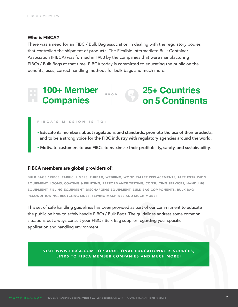#### Who is **FIBCA?**

There was a need for an FIBC / Bulk Bag association in dealing with the regulatory bodies that controlled the shipment of products. The Flexible Intermediate Bulk Container Association (FIBCA) was formed in 1983 by the companies that were manufacturing FIBCs / Bulk Bags at that time. FIBCA today is committed to educating the public on the benefits, uses, correct handling methods for bulk bags and much more!

### **25+ Countries on <sup>5</sup> Continents 100+ Member Companies** FROM

#### FIBCA'S MISSION IS TO:

- Educate its members about regulations and standards, promote the use of their products, and to be a strong voice for the FIBC industry with regulatory agencies around the world.
- Motivate customers to use FIBCs to maximize their profitability, safety, and sustainability.

#### FIBCA members are global providers of:

BULK BAGS / FIBCS, FABRIC, LINERS, THREAD, WEBBING, WOOD PALLET REPLACEMENTS, TAPE EXTRUSION EQUIPMENT, LOOMS, COATING & PRINTING, PERFORMANCE TESTING, CONSULTING SERVICES, HANDLING EQUIPMENT, FILLING EQUIPMENT, DISCHARGING EQUIPMENT, BULK BAG COMPONENTS, BULK BAG RECONDITIONING, RECYCLING LINES, SEWING MACHINES AND MUCH MORE!

This set of safe handling guidelines has been provided as part of our commitment to educate the public on how to safely handle FIBCs / Bulk Bags. The guidelines address some common situations but always consult your FIBC / Bulk Bag supplier regarding your specific application and handling environment.

VISIT WWW.FIBCA.COM FOR ADDITIONAL EDUCATIONAL RESOURCES, LINKS TO FIBCA MEMBER COMPANIES AND MUCH MORE!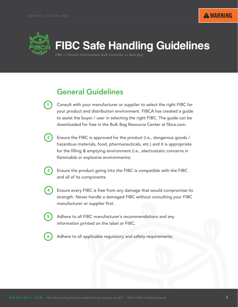

## **FIBC Safe Handling Guidelines**

*FIBC = Flexible Intermediate Bulk Container or Bulk Bag*

### General Guidelines

- Consult with your manufacturer or supplier to select the right FIBC for your product and distribution environment. FIBCA has created a guide to assist the buyer / user in selecting the right FIBC. The guide can be downloaded for free in the Bulk Bag Resource Center at fibca.com.  $1<sup>1</sup>$
- Ensure the FIBC is approved for the product (i.e., dangerous goods / hazardous materials, food, pharmaceuticals, etc.) and it is appropriate for the filling & emptying environment (i.e., electrostatic concerns in flammable or explosive environments). 2
	- Ensure the product going into the FIBC is compatible with the FIBC and all of its components.
- Ensure every FIBC is free from any damage that would compromise its strength. Never handle a damaged FIBC without consulting your FIBC manufacturer or supplier first. 4
	- Adhere to all FIBC manufacturer's recommendations and any information printed on the label or FIBC.
- 6

5

3

Adhere to all applicable regulatory and safety requirements.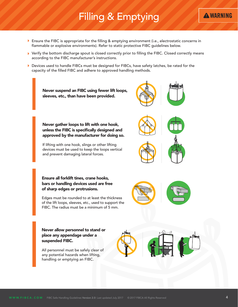### Filling & Emptying

- Ensure the FIBC is appropriate for the filling & emptying environment (i.e., electrostatic concerns in flammable or explosive environments). Refer to static protective FIBC guidelines below.
- Verify the bottom discharge spout is closed correctly prior to filling the FIBC. Closed correctly means according to the FIBC manufacturer's instructions.
- Devices used to handle FIBCs must be designed for FIBCs, have safety latches, be rated for the capacity of the filled FIBC and adhere to approved handling methods.



**A WARNING**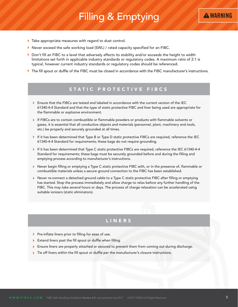### Filling & Emptying



- Take appropriate measures with regard to dust control.
- ▶ Never exceed the safe working load (SWL) / rated capacity specified for an FIBC.
- ▶ Don't fill an FIBC to a level that adversely affects its stability and/or exceeds the height to width limitations set forth in applicable industry standards or regulatory codes. A maximum ratio of 2:1 is typical, however current industry standards or regulatory codes should be referenced.
- The fill spout or duffle of the FIBC must be closed in accordance with the FIBC manufacturer's instructions.

### STATIC PROTECTIVE FIBCS

- Ensure that the FIBCs are tested and labeled in accordance with the current version of the IEC 61340-4-4 Standard and that the type of static protective FIBC and liner being used are appropriate for the flammable or explosive environment.
- If FIBCs are to contain combustible or flammable powders or products with flammable solvents or gases, it is essential that all conductive objects and materials (personnel, plant, machinery and tools, etc.) be properly and securely grounded at all times.
- If it has been determined that Type B or Type D static protective FIBCs are required, reference the IEC 61340-4-4 Standard for requirements; these bags do not require grounding.
- If it has been determined that Type C static protective FIBCs are required, reference the IEC 61340-4-4 Standard for requirements; these bags must be securely grounded before and during the filling and emptying process according to manufacturer's instructions.
- Never begin filling or emptying a Type C static protective FIBC with, or in the presence of, flammable or combustible materials unless a secure ground connection to the FIBC has been established.
- Never re-connect a detached ground cable to a Type C static protective FIBC after filling or emptying has started. Stop the process immediately and allow charge to relax before any further handling of the FIBC. This may take several hours or days. The process of charge relaxation can be accelerated using suitable ionizers (static eliminators).

### LINER S

- Pre-inflate liners prior to filling for ease of use.
- Extend liners past the fill spout or duffle when filling.
- Ensure liners are properly attached or secured to prevent them from coming out during discharge.
- Tie off liners within the fill spout or duffle per the manufacturer's closure instructions.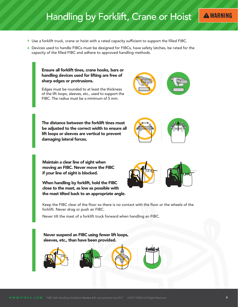### Handling by Forklift, Crane or Hoist

- Use a forklift truck, crane or hoist with a rated capacity sufficient to support the filled FIBC.
- Devices used to handle FIBCs must be designed for FIBCs, have safety latches, be rated for the capacity of the filled FIBC and adhere to approved handling methods.

Ensure all forklift tines, crane hooks, bars or handling devices used for lifting are free of sharp edges or protrusions.



**A WARNING** 

Edges must be rounded to at least the thickness of the lift loops, sleeves, etc., used to support the FIBC. The radius must be a minimum of 5 mm.

The distance between the forklift tines must be adjusted to the correct width to ensure all lift loops or sleeves are vertical to prevent damaging lateral forces.

Maintain a clear line of sight when moving an FIBC. Never move the FIBC if your line of sight is blocked.

When handling by forklift, hold the FIBC close to the mast, as low as possible with the mast tilted back to an appropriate angle.



Never tilt the mast of a forklift truck forward when handling an FIBC.

Never suspend an FIBC using fewer lift loops, sleeves, etc., than have been provided.





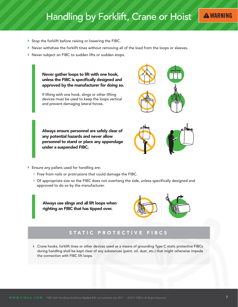### Handling by Forklift, Crane or Hoist

- Stop the forklift before raising or lowering the FIBC.
- $\blacktriangleright$  Never withdraw the forklift tines without removing all of the load from the loops or sleeves.
- Never subject an FIBC to sudden lifts or sudden stops.

Never gather loops to lift with one hook, unless the FIBC is specifically designed and approved by the manufacturer for doing so.

If lifting with one hook, slings or other lifting devices must be used to keep the loops vertical and prevent damaging lateral forces.

Always ensure personnel are safely clear of any potential hazards and never allow personnel to stand or place any appendage under a suspended FIBC.



- Ensure any pallets used for handling are:
	- Free from nails or protrusions that could damage the FIBC.
	- Of appropriate size so the FIBC does not overhang the side, unless specifically designed and approved to do so by the manufacturer.

Always use slings and all lift loops when righting an FIBC that has tipped over.



### STATIC PROTECTIVE FIBCS

▶ Crane hooks, forklift tines or other devices used as a means of grounding Type C static protective FIBCs during handling shall be kept clear of any substances (paint, oil, dust, etc.) that might otherwise impede the connection with FIBC lift loops.

**A WARNING**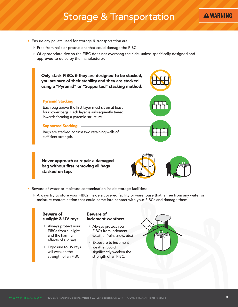### Storage & Transportation

- Ensure any pallets used for storage & transportation are:
	- Free from nails or protrusions that could damage the FIBC.
	- Of appropriate size so the FIBC does not overhang the side, unless specifically designed and approved to do so by the manufacturer.

Only stack FIBCs if they are designed to be stacked, you are sure of their stability and they are stacked using a "Pyramid" or "Supported" stacking method:

#### Pyramid Stacking

Each bag above the first layer must sit on at least four lower bags. Each layer is subsequently tiered inwards forming a pyramid structure.

#### Supported Stacking

Bags are stacked against two retaining walls of sufficient strength.

Never approach or repair a damaged bag without first removing all bags stacked on top.



- Beware of water or moisture contamination inside storage facilities:
	- Always try to store your FIBCs inside a covered facility or warehouse that is free from any water or moisture contamination that could come into contact with your FIBCs and damage them.

#### Beware of sunlight & UV rays:

- Always protect your FIBCs from sunlight and the harmful effects of UV rays.
- **► Exposure to UV rays** will weaken the strength of an FIBC.

#### Beware of inclement weather:

- Always protect your FIBCs from inclement weather (rain, snow, etc.)
- Exposure to inclement weather could significantly weaken the strength of an FIBC.



**A WARNING**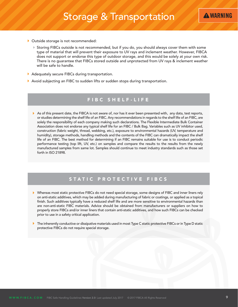- Outside storage is not recommended:
	- Storing FIBCs outside is not recommended, but if you do, you should always cover them with some type of material that will prevent their exposure to UV rays and inclement weather. However, FIBCA does not support or endorse this type of outdoor storage, and this would be solely at your own risk. There is no guarantee that FIBCs stored outside and unprotected from UV rays & inclement weather will be safe to handle.
- Adequately secure FIBCs during transportation.
- Avoid subjecting an FIBC to sudden lifts or sudden stops during transportation.

#### FIBC SHELF-LIFE

As of this present date, the FIBCA is not aware of, nor has it ever been presented with, any data, test reports, or studies determining the shelf life of an FIBC. Any recommendations in regards to the shelf life of an FIBC, are solely the responsibility of each company making such declarations. The Flexible Intermediate Bulk Container Association does not endorse any typical shelf life for an FIBC / Bulk Bag. Variables such as UV inhibitor used, construction (fabric weight, thread, webbing, etc.), exposure to environmental hazards (UV, temperature and humidity), storage methods, handling methods and the contents of the FIBC can dramatically impact the shelf life of an FIBC. The best method for determining if an FIBC remains suitable for use is to conduct periodic performance testing (top lift, UV, etc.) on samples and compare the results to the results from the newly manufactured samples from same lot. Samples should continue to meet industry standards such as those set forth in ISO 21898.

### STATIC PROTECTIVE FIBCS

- Whereas most static protective FIBCs do not need special storage, some designs of FIBC and inner liners rely on anti-static additives, which may be added during manufacturing of fabric or coatings, or applied as a topical finish. Such additives typically have a reduced shelf life and are more sensitive to environmental hazards than are non-anti-static FIBC materials. Advice should be obtained from manufacturers or suppliers on how to properly store FIBCs and/or inner liners that contain anti-static additives, and how such FIBCs can be checked prior to use in a safety critical application.
- The inherently conductive or dissipative materials used in most Type C static protective FIBCs or in Type D static protective FIBCs do not require special storage.